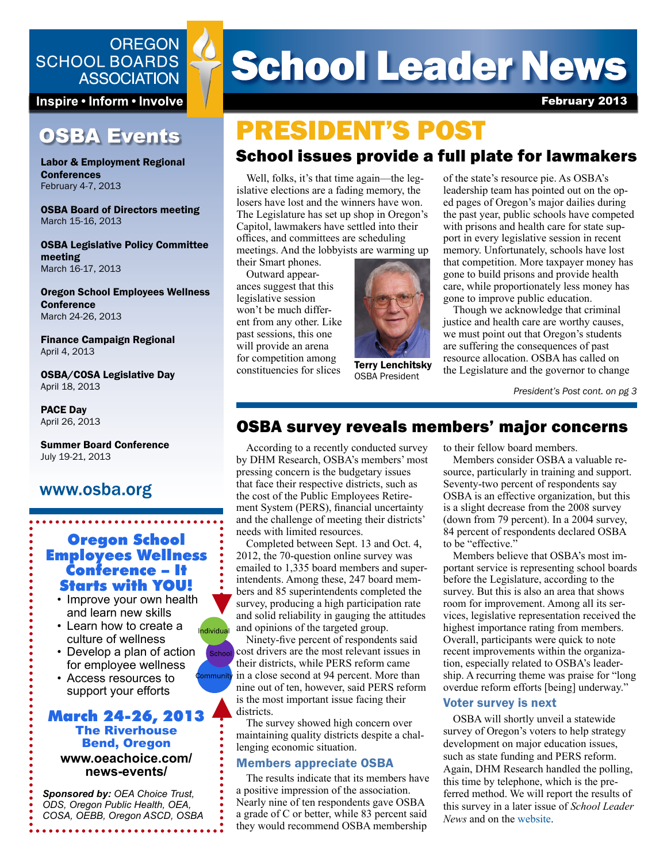## **OREGON SCHOOL BOARDS ASSOCIATION**

Inspire • Inform • Involve

## **OSBA Events**

Labor & Employment Regional **Conferences** February 4-7, 2013

OSBA Board of Directors meeting March 15-16, 2013

OSBA Legislative Policy Committee meeting March 16-17, 2013

Oregon School Employees Wellness **Conference** March 24-26, 2013

Finance Campaign Regional April 4, 2013

OSBA/COSA Legislative Day April 18, 2013

PACE Day April 26, 2013

Summer Board Conference July 19-21, 2013

## www.osba.org

## Oregon School Employees Wellness Conference – It Starts with YOU!

- Improve your own health and learn new skills
- Learn how to create a culture of wellness
- Develop a plan of action for employee wellness mmunity

Individual

School

• Access resources to support your efforts

#### March 24-26, 2013 The Riverhouse Bend, Oregon **www.oeachoice.com/ news-events/**

*Sponsored by: OEA Choice Trust, ODS, Oregon Public Health, OEA, COSA, OEBB, Oregon ASCD, OSBA*

. . . . . . . . . . . . . . . . . . .

# **School Leader News**

February 2013

## School issues provide a full plate for lawmakers PRESIDENT'S POST

Well, folks, it's that time again—the legislative elections are a fading memory, the losers have lost and the winners have won. The Legislature has set up shop in Oregon's Capitol, lawmakers have settled into their offices, and committees are scheduling meetings. And the lobbyists are warming up

their Smart phones. Outward appearances suggest that this legislative session won't be much different from any other. Like past sessions, this one will provide an arena for competition among constituencies for slices



OSBA President

of the state's resource pie. As OSBA's leadership team has pointed out on the oped pages of Oregon's major dailies during the past year, public schools have competed with prisons and health care for state support in every legislative session in recent memory. Unfortunately, schools have lost that competition. More taxpayer money has gone to build prisons and provide health care, while proportionately less money has gone to improve public education.

Though we acknowledge that criminal justice and health care are worthy causes, we must point out that Oregon's students are suffering the consequences of past resource allocation. OSBA has called on **Terry Lenchitsky** the Legislature and the governor to change

*President's Post cont. on pg 3*

## OSBA survey reveals members' major concerns

According to a recently conducted survey by DHM Research, OSBA's members' most pressing concern is the budgetary issues that face their respective districts, such as the cost of the Public Employees Retirement System (PERS), financial uncertainty and the challenge of meeting their districts' needs with limited resources.

Completed between Sept. 13 and Oct. 4, 2012, the 70-question online survey was emailed to 1,335 board members and superintendents. Among these, 247 board members and 85 superintendents completed the survey, producing a high participation rate and solid reliability in gauging the attitudes and opinions of the targeted group.

Ninety-five percent of respondents said cost drivers are the most relevant issues in their districts, while PERS reform came in a close second at 94 percent. More than nine out of ten, however, said PERS reform is the most important issue facing their districts.

The survey showed high concern over maintaining quality districts despite a challenging economic situation.

#### Members appreciate OSBA

The results indicate that its members have a positive impression of the association. Nearly nine of ten respondents gave OSBA a grade of C or better, while 83 percent said they would recommend OSBA membership

to their fellow board members.

Members consider OSBA a valuable resource, particularly in training and support. Seventy-two percent of respondents say OSBA is an effective organization, but this is a slight decrease from the 2008 survey (down from 79 percent). In a 2004 survey, 84 percent of respondents declared OSBA to be "effective."

Members believe that OSBA's most important service is representing school boards before the Legislature, according to the survey. But this is also an area that shows room for improvement. Among all its services, legislative representation received the highest importance rating from members. Overall, participants were quick to note recent improvements within the organization, especially related to OSBA's leadership. A recurring theme was praise for "long overdue reform efforts [being] underway."

#### Voter survey is next

OSBA will shortly unveil a statewide survey of Oregon's voters to help strategy development on major education issues, such as state funding and PERS reform. Again, DHM Research handled the polling, this time by telephone, which is the preferred method. We will report the results of this survey in a later issue of *School Leader News* and on the [website.](http://www.osba.org)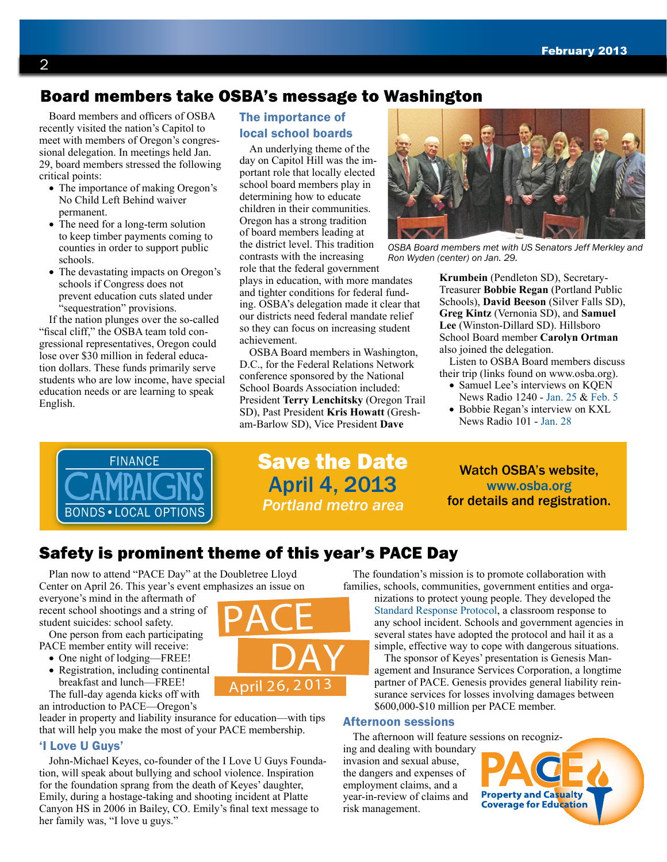## Board members take OSBA's message to Washington

Board members and officers of OSBA recently visited the nation's Capitol to meet with members of Oregon's congressional delegation. In meetings held Jan. 29, board members stressed the following critical points:

- The importance of making Oregon's No Child Left Behind waiver permanent.
- The need for a long-term solution to keep timber payments coming to counties in order to support public schools.
- The devastating impacts on Oregon's schools if Congress does not prevent education cuts slated under "sequestration" provisions.

If the nation plunges over the so-called "fiscal cliff," the OSBA team told congressional representatives, Oregon could lose over \$30 million in federal education dollars. These funds primarily serve students who are low income, have special education needs or are learning to speak English.

### The importance of local school boards

An underlying theme of the day on Capitol Hill was the important role that locally elected school board members play in determining how to educate children in their communities. Oregon has a strong tradition of board members leading at the district level. This tradition contrasts with the increasing role that the federal government

plays in education, with more mandates and tighter conditions for federal funding. OSBA's delegation made it clear that our districts need federal mandate relief so they can focus on increasing student achievement.

OSBA Board members in Washington, D.C., for the Federal Relations Network conference sponsored by the National School Boards Association included: President **Terry Lenchitsky** (Oregon Trail SD), Past President **Kris Howatt** (Gresham-Barlow SD), Vice President **Dave** 



*OSBA Board members met with US Senators Jeff Merkley and Ron Wyden (center) on Jan. 29.*

**Krumbein** (Pendleton SD), Secretary-Treasurer **Bobbie Regan** (Portland Public Schools), **David Beeson** (Silver Falls SD), **Greg Kintz** (Vernonia SD), and **Samuel Lee** (Winston-Dillard SD). Hillsboro School Board member **Carolyn Ortman** also joined the delegation.

Listen to OSBA Board members discuss their trip (links found on www.osba.org).

- Samuel Lee's interviews on KOEN News Radio 1240 - [Jan. 25](http://www.541radio.com/pages/12609968.php) & [Feb. 5](http://www.541radio.com/pages/12609968.php)
- Bobbie Regan's interview on KXL News Radio 101 - [Jan. 28](http://www.kxl.com/common/global_audio/418/88469.mp3)



Save the Date April 4, 2013 *Portland metro area*

Watch OSBA's website, [www.osba.org](http://www.osba.org) for details and registration.

## Safety is prominent theme of this year's PACE Day

PACE

<sup>A</sup>pril 26, <sup>2</sup> <sup>0</sup>1<sup>3</sup>

DAY

Plan now to attend "PACE Day" at the Doubletree Lloyd Center on April 26. This year's event emphasizes an issue on

everyone's mind in the aftermath of recent school shootings and a string of student suicides: school safety.

One person from each participating PACE member entity will receive:

- One night of lodging—FREE!
- Registration, including continental breakfast and lunch—FREE!
- The full-day agenda kicks off with an introduction to PACE—Oregon's

leader in property and liability insurance for education—with tips that will help you make the most of your PACE membership.

#### 'I Love U Guys'

John-Michael Keyes, co-founder of the I Love U Guys Foundation, will speak about bullying and school violence. Inspiration for the foundation sprang from the death of Keyes' daughter, Emily, during a hostage-taking and shooting incident at Platte Canyon HS in 2006 in Bailey, CO. Emily's final text message to her family was, "I love u guys."

The foundation's mission is to promote collaboration with families, schools, communities, government entities and orga-

nizations to protect young people. They developed the [Standard Response Protocol,](http://iloveuguys.org/srp.html) a classroom response to any school incident. Schools and government agencies in several states have adopted the protocol and hail it as a simple, effective way to cope with dangerous situations.

The sponsor of Keyes' presentation is Genesis Management and Insurance Services Corporation, a longtime partner of PACE. Genesis provides general liability reinsurance services for losses involving damages between \$600,000-\$10 million per PACE member.

#### Afternoon sessions

The afternoon will feature s[essions on recogniz-](http://pace.osba.org)

ing and dealing with boundary invasion and sexual abuse, the dangers and expenses of employment claims, and a year-in-review of claims and risk management.

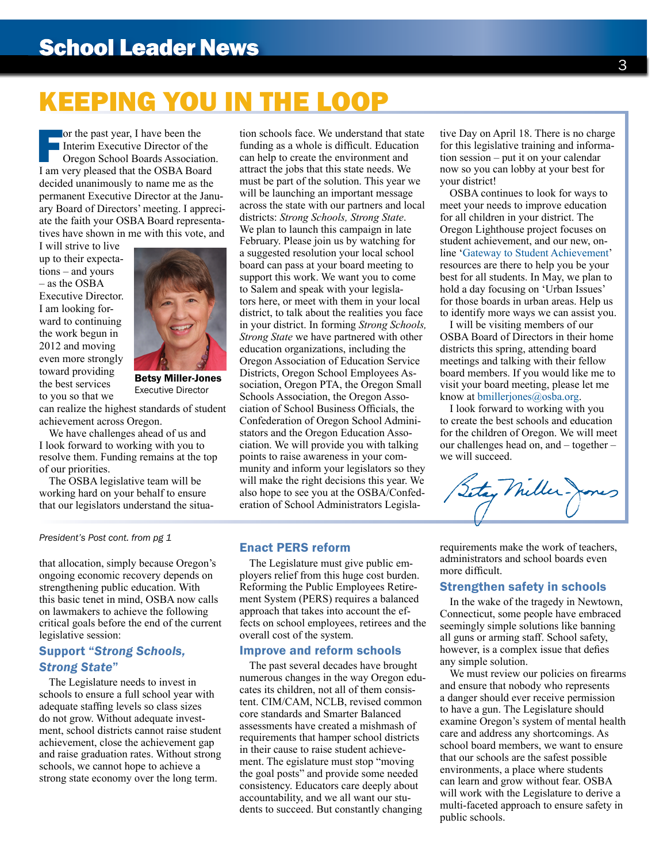# KEEPING YOU IN THE LOOP

For the past year, I have been the<br>Interim Executive Director of the<br>Oregon School Boards Association<br>I am very pleased that the OSBA Boa Interim Executive Director of the Oregon School Boards Association. I am very pleased that the OSBA Board decided unanimously to name me as the permanent Executive Director at the January Board of Directors' meeting. I appreciate the faith your OSBA Board representatives have shown in me with this vote, and

I will strive to live up to their expectations – and yours – as the OSBA Executive Director. I am looking forward to continuing the work begun in 2012 and moving even more strongly toward providing the best services to you so that we



Betsy Miller-Jones Executive Director

can realize the highest standards of student achievement across Oregon.

We have challenges ahead of us and I look forward to working with you to resolve them. Funding remains at the top of our priorities.

The OSBA legislative team will be working hard on your behalf to ensure that our legislators understand the situa-

*President's Post cont. from pg 1*

that allocation, simply because Oregon's ongoing economic recovery depends on strengthening public education. With this basic tenet in mind, OSBA now calls on lawmakers to achieve the following critical goals before the end of the current legislative session:

#### Support "*Strong Schools, Strong State*"

The Legislature needs to invest in schools to ensure a full school year with adequate staffing levels so class sizes do not grow. Without adequate investment, school districts cannot raise student achievement, close the achievement gap and raise graduation rates. Without strong schools, we cannot hope to achieve a strong state economy over the long term.

tion schools face. We understand that state funding as a whole is difficult. Education can help to create the environment and attract the jobs that this state needs. We must be part of the solution. This year we will be launching an important message across the state with our partners and local districts: *Strong Schools, Strong State*. We plan to launch this campaign in late February. Please join us by watching for a suggested resolution your local school board can pass at your board meeting to support this work. We want you to come to Salem and speak with your legislators here, or meet with them in your local district, to talk about the realities you face in your district. In forming *Strong Schools, Strong State* we have partnered with other education organizations, including the Oregon Association of Education Service Districts, Oregon School Employees Association, Oregon PTA, the Oregon Small Schools Association, the Oregon Association of School Business Officials, the Confederation of Oregon School Administators and the Oregon Education Association. We will provide you with talking points to raise awareness in your community and inform your legislators so they will make the right decisions this year. We also hope to see you at the OSBA/Confederation of School Administrators Legislative Day on April 18. There is no charge for this legislative training and information session – put it on your calendar now so you can lobby at your best for your district!

OSBA continues to look for ways to meet your needs to improve education for all children in your district. The Oregon Lighthouse project focuses on student achievement, and our new, online '[Gateway to Student Achievement'](http://www.osba.org/Resources/Article/Improving_Education/SAG/Gateway-Home.aspx) resources are there to help you be your best for all students. In May, we plan to hold a day focusing on 'Urban Issues' for those boards in urban areas. Help us to identify more ways we can assist you.

I will be visiting members of our OSBA Board of Directors in their home districts this spring, attending board meetings and talking with their fellow board members. If you would like me to visit your board meeting, please let me know at [bmillerjones@osba.org.](mailto:bmillerjones%40osba.org?subject=)

I look forward to working with you to create the best schools and education for the children of Oregon. We will meet our challenges head on, and – together – we will succeed.

tay Miller

#### Enact PERS reform

The Legislature must give public employers relief from this huge cost burden. Reforming the Public Employees Retirement System (PERS) requires a balanced approach that takes into account the effects on school employees, retirees and the overall cost of the system.

#### Improve and reform schools

The past several decades have brought numerous changes in the way Oregon educates its children, not all of them consistent. CIM/CAM, NCLB, revised common core standards and Smarter Balanced assessments have created a mishmash of requirements that hamper school districts in their cause to raise student achievement. The egislature must stop "moving the goal posts" and provide some needed consistency. Educators care deeply about accountability, and we all want our students to succeed. But constantly changing

requirements make the work of teachers, administrators and school boards even more difficult.

#### Strengthen safety in schools

In the wake of the tragedy in Newtown, Connecticut, some people have embraced seemingly simple solutions like banning all guns or arming staff. School safety, however, is a complex issue that defies any simple solution.

We must review our policies on firearms and ensure that nobody who represents a danger should ever receive permission to have a gun. The Legislature should examine Oregon's system of mental health care and address any shortcomings. As school board members, we want to ensure that our schools are the safest possible environments, a place where students can learn and grow without fear. OSBA will work with the Legislature to derive a multi-faceted approach to ensure safety in public schools.